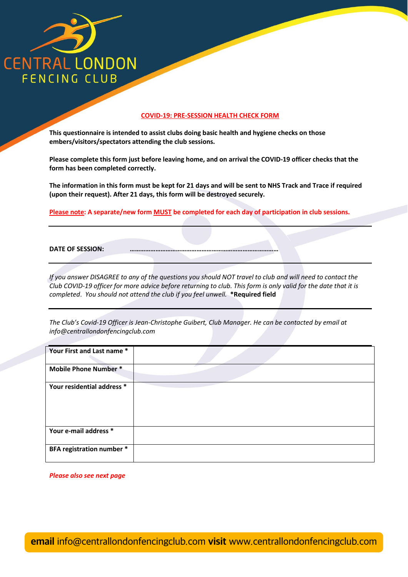

## **COVID-19: PRE-SESSION HEALTH CHECK FORM**

**This questionnaire is intended to assist clubs doing basic health and hygiene checks on those embers/visitors/spectators attending the club sessions.**

**Please complete this form just before leaving home, and on arrival the COVID-19 officer checks that the form has been completed correctly.**

**The information in this form must be kept for 21 days and will be sent to NHS Track and Trace if required (upon their request). After 21 days, this form will be destroyed securely.**

**Please note: A separate/new form MUST be completed for each day of participation in club sessions.**

**DATE OF SESSION:** 

*If you answer DISAGREE to any of the questions you should NOT travel to club and will need to contact the Club COVID-19 officer for more advice before returning to club. This form is only valid for the date that it is completed*. *You should not attend the club if you feel unwell.* **\*Required field**

*The Club's Covid-19 Officer is Jean-Christophe Guibert, Club Manager. He can be contacted by email at info@centrallondonfencingclub.com*

| Your First and Last name *   |  |
|------------------------------|--|
| <b>Mobile Phone Number *</b> |  |
| Your residential address *   |  |
| Your e-mail address *        |  |
| BFA registration number *    |  |

*Please also see next page*